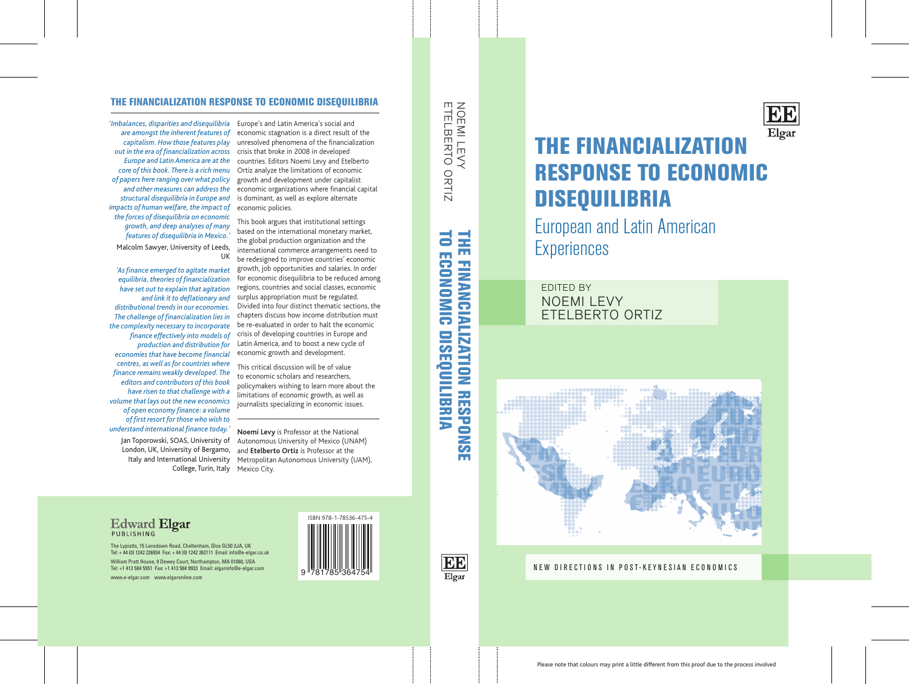

#### THE FINANCIALIZATION RESPONSE TO ECONOMIC DISEQUILIBRIA

Europe's and Latin America's social and economic stagnation is a direct result of the unresolved phenomena of the financialization crisis that broke in 2008 in developed countries. Editors Noemi Levy and Etelberto Ortiz analyze the limitations of economic growth and development under capitalist economic organizations where financial capital is dominant, as well as explore alternate economic policies.

**Noemi Levy** is Professor at the National Autonomous University of Mexico (UNAM) and **Etelberto Ortiz** is Professor at the Italy and International University Metropolitan Autonomous University (UAM),

This book argues that institutional settings based on the international monetary market, the global production organization and the international commerce arrangements need to be redesigned to improve countries' economic growth, job opportunities and salaries. In order for economic disequilibria to be reduced among regions, countries and social classes, economic surplus appropriation must be regulated. Divided into four distinct thematic sections, the chapters discuss how income distribution must be re-evaluated in order to halt the economic crisis of developing countries in Europe and Latin America, and to boost a new cycle of economic growth and development.

NOEMI LEVY<br>ETELBERTO ORTIZ ETELBERTO ORTIZ NOEMI LEVY

**THE FINANCIALIZATION RESPONSE** TO ECONOMIC DISEQUILIBRIA TO ECONOMIC DISEQUILIBRIA THE FINANCIALIZATION RESPONSE

> **BB** Elgar

This critical discussion will be of value to economic scholars and researchers, policymakers wishing to learn more about the limitations of economic growth, as well as journalists specializing in economic issues.



College, Turin, Italy Mexico City. Jan Toporowski, SOAS, University of London, UK, University of Bergamo,

The Lypiatts, 15 Lansdown Road, Cheltenham, Glos GL50 2JA, UK Tel: + 44 (0) 1242 226934 Fax: + 44 (0) 1242 262111 Email: info@e-elgar.co.uk William Pratt House, 9 Dewey Court, Northampton, MA 01060, USA Tel: +1 413 584 5551 Fax: +1 413 584 9933 Email: elgarinfo@e-elgar.com www.e-elgar.com www.elgaronline.com

# THE FINANCIALIZATION RESPONSE TO ECONOMIC DISEQUILIBRIA

European and Latin American Experiences



### NEW DIRECTIONS IN POST-KEYNESIAN ECONOMICS

#### **Edward Elgar** PUBLISHING

*'Imbalances, disparities and disequilibria are amongst the inherent features of capitalism. How those features play out in the era of financialization across Europe and Latin America are at the core of this book. There is a rich menu of papers here ranging over what policy and other measures can address the structural disequilibria in Europe and impacts of human welfare, the impact of the forces of disequilibria on economic growth, and deep analyses of many features of disequilibria in Mexico.'*  Malcolm Sawyer, University of Leeds, UK

*'As finance emerged to agitate market equilibria, theories of financialization have set out to explain that agitation and link it to deflationary and distributional trends in our economies. The challenge of financialization lies in the complexity necessary to incorporate finance effectively into models of production and distribution for economies that have become financial centres, as well as for countries where finance remains weakly developed. The editors and contributors of this book have risen to that challenge with a volume that lays out the new economics of open economy finance: a volume of first resort for those who wish to understand international finance today.'*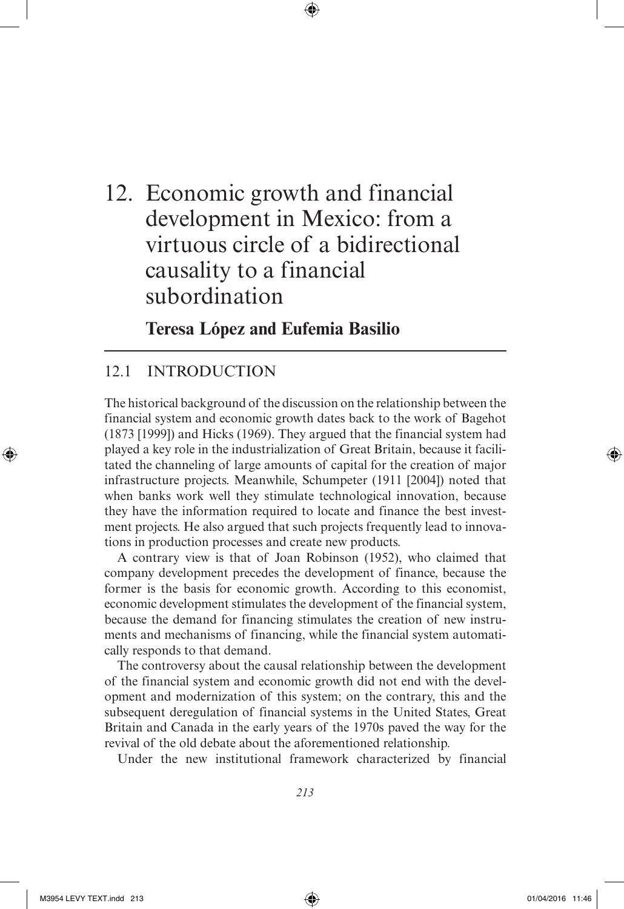## 12. Economic growth and financial development in Mexico: from a virtuous circle of a bidirectional causality to a financial subordination

⊕

**Teresa López and Eufemia Basilio**

#### 12.1 INTRODUCTION

The historical background of the discussion on the relationship between the financial system and economic growth dates back to the work of Bagehot (1873 [1999]) and Hicks (1969). They argued that the financial system had played a key role in the industrialization of Great Britain, because it facilitated the channeling of large amounts of capital for the creation of major infrastructure projects. Meanwhile, Schumpeter (1911 [2004]) noted that when banks work well they stimulate technological innovation, because they have the information required to locate and finance the best investment projects. He also argued that such projects frequently lead to innovations in production processes and create new products.

A contrary view is that of Joan Robinson (1952), who claimed that company development precedes the development of finance, because the former is the basis for economic growth. According to this economist, economic development stimulates the development of the financial system, because the demand for financing stimulates the creation of new instruments and mechanisms of financing, while the financial system automatically responds to that demand.

The controversy about the causal relationship between the development of the financial system and economic growth did not end with the development and modernization of this system; on the contrary, this and the subsequent deregulation of financial systems in the United States, Great Britain and Canada in the early years of the 1970s paved the way for the revival of the old debate about the aforementioned relationship.

Under the new institutional framework characterized by financial

*213*

⊕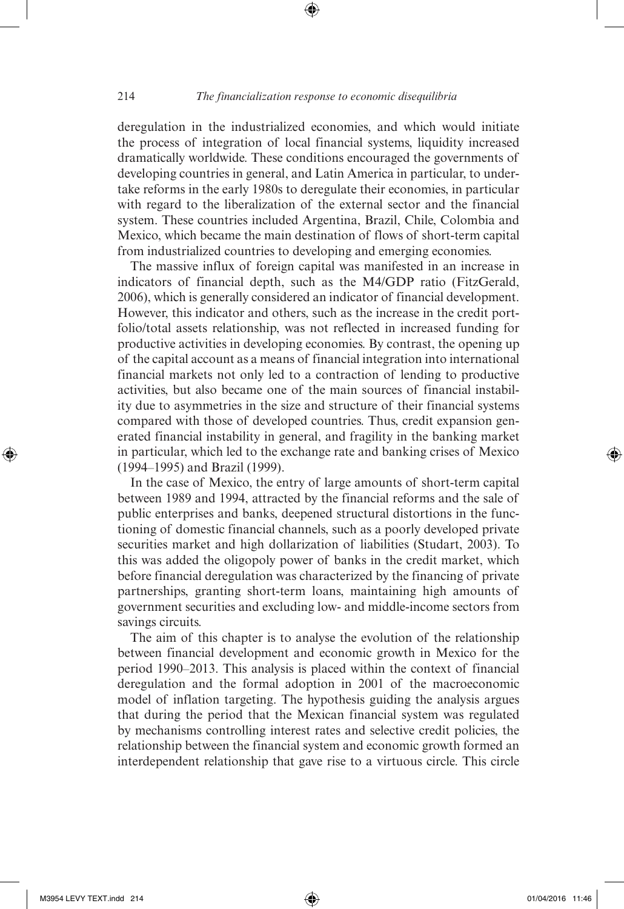⊕

deregulation in the industrialized economies, and which would initiate the process of integration of local financial systems, liquidity increased dramatically worldwide. These conditions encouraged the governments of developing countries in general, and Latin America in particular, to undertake reforms in the early 1980s to deregulate their economies, in particular with regard to the liberalization of the external sector and the financial system. These countries included Argentina, Brazil, Chile, Colombia and Mexico, which became the main destination of flows of short-term capital from industrialized countries to developing and emerging economies.

The massive influx of foreign capital was manifested in an increase in indicators of financial depth, such as the M4/GDP ratio (FitzGerald, 2006), which is generally considered an indicator of financial development. However, this indicator and others, such as the increase in the credit portfolio/total assets relationship, was not reflected in increased funding for productive activities in developing economies. By contrast, the opening up of the capital account as a means of financial integration into international financial markets not only led to a contraction of lending to productive activities, but also became one of the main sources of financial instability due to asymmetries in the size and structure of their financial systems compared with those of developed countries. Thus, credit expansion generated financial instability in general, and fragility in the banking market in particular, which led to the exchange rate and banking crises of Mexico (1994–1995) and Brazil (1999).

In the case of Mexico, the entry of large amounts of short-term capital between 1989 and 1994, attracted by the financial reforms and the sale of public enterprises and banks, deepened structural distortions in the functioning of domestic financial channels, such as a poorly developed private securities market and high dollarization of liabilities (Studart, 2003). To this was added the oligopoly power of banks in the credit market, which before financial deregulation was characterized by the financing of private partnerships, granting short-term loans, maintaining high amounts of government securities and excluding low- and middle-income sectors from savings circuits.

The aim of this chapter is to analyse the evolution of the relationship between financial development and economic growth in Mexico for the period 1990–2013. This analysis is placed within the context of financial deregulation and the formal adoption in 2001 of the macroeconomic model of inflation targeting. The hypothesis guiding the analysis argues that during the period that the Mexican financial system was regulated by mechanisms controlling interest rates and selective credit policies, the relationship between the financial system and economic growth formed an interdependent relationship that gave rise to a virtuous circle. This circle

⊕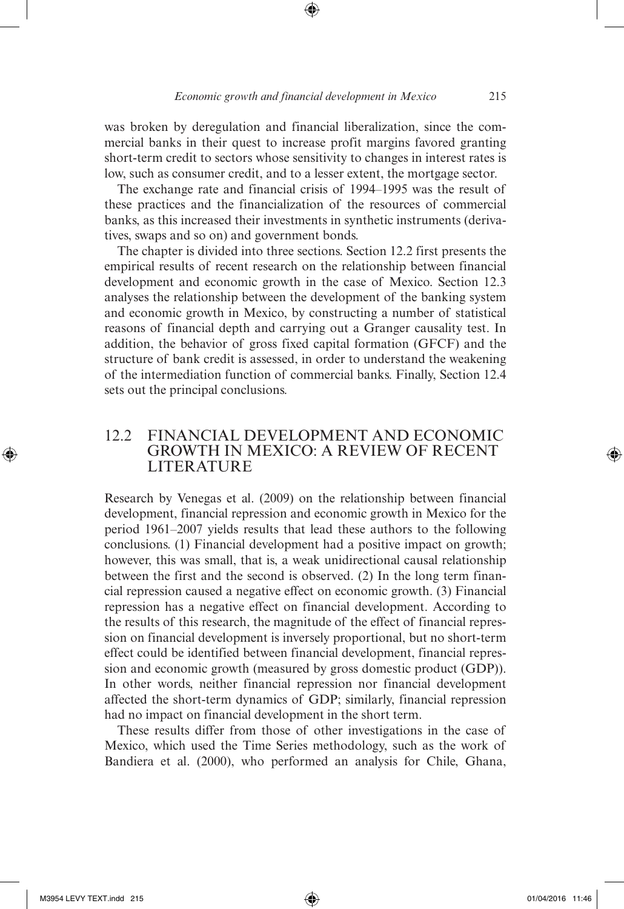was broken by deregulation and financial liberalization, since the commercial banks in their quest to increase profit margins favored granting short-term credit to sectors whose sensitivity to changes in interest rates is low, such as consumer credit, and to a lesser extent, the mortgage sector.

The exchange rate and financial crisis of 1994–1995 was the result of these practices and the financialization of the resources of commercial banks, as this increased their investments in synthetic instruments (derivatives, swaps and so on) and government bonds.

The chapter is divided into three sections. Section 12.2 first presents the empirical results of recent research on the relationship between financial development and economic growth in the case of Mexico. Section 12.3 analyses the relationship between the development of the banking system and economic growth in Mexico, by constructing a number of statistical reasons of financial depth and carrying out a Granger causality test. In addition, the behavior of gross fixed capital formation (GFCF) and the structure of bank credit is assessed, in order to understand the weakening of the intermediation function of commercial banks. Finally, Section 12.4 sets out the principal conclusions.

#### 12.2 FINANCIAL DEVELOPMENT AND ECONOMIC GROWTH IN MEXICO: A REVIEW OF RECENT LITERATURE

Research by Venegas et al. (2009) on the relationship between financial development, financial repression and economic growth in Mexico for the period 1961–2007 yields results that lead these authors to the following conclusions. (1) Financial development had a positive impact on growth; however, this was small, that is, a weak unidirectional causal relationship between the first and the second is observed. (2) In the long term financial repression caused a negative effect on economic growth. (3) Financial repression has a negative effect on financial development. According to the results of this research, the magnitude of the effect of financial repression on financial development is inversely proportional, but no short-term effect could be identified between financial development, financial repression and economic growth (measured by gross domestic product (GDP)). In other words, neither financial repression nor financial development affected the short-term dynamics of GDP; similarly, financial repression had no impact on financial development in the short term.

These results differ from those of other investigations in the case of Mexico, which used the Time Series methodology, such as the work of Bandiera et al. (2000), who performed an analysis for Chile, Ghana,

⊕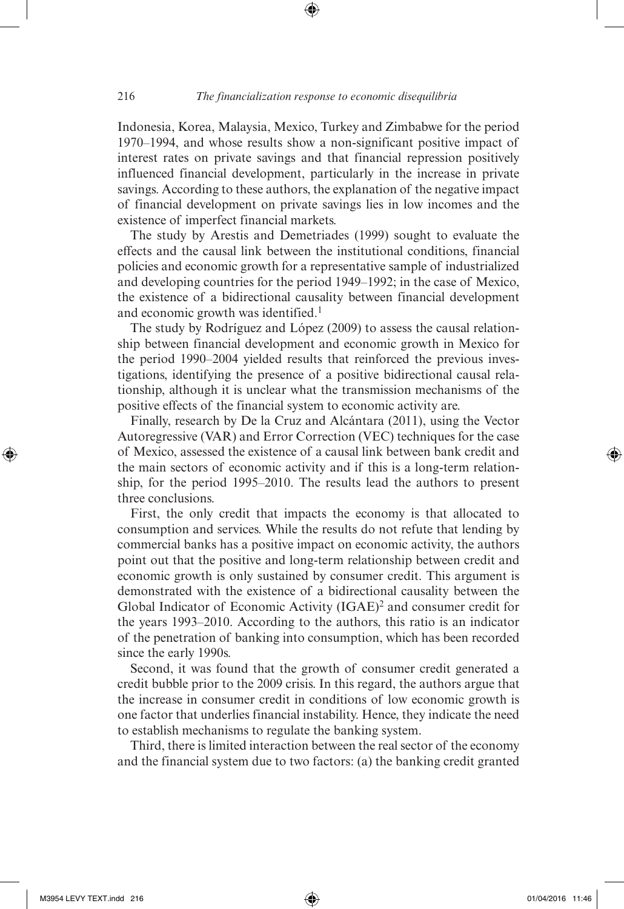Indonesia, Korea, Malaysia, Mexico, Turkey and Zimbabwe for the period 1970–1994, and whose results show a non-significant positive impact of interest rates on private savings and that financial repression positively influenced financial development, particularly in the increase in private savings. According to these authors, the explanation of the negative impact of financial development on private savings lies in low incomes and the existence of imperfect financial markets.

⊕

The study by Arestis and Demetriades (1999) sought to evaluate the effects and the causal link between the institutional conditions, financial policies and economic growth for a representative sample of industrialized and developing countries for the period 1949–1992; in the case of Mexico, the existence of a bidirectional causality between financial development and economic growth was identified.<sup>1</sup>

The study by Rodríguez and López (2009) to assess the causal relationship between financial development and economic growth in Mexico for the period 1990–2004 yielded results that reinforced the previous investigations, identifying the presence of a positive bidirectional causal relationship, although it is unclear what the transmission mechanisms of the positive effects of the financial system to economic activity are.

Finally, research by De la Cruz and Alcántara (2011), using the Vector Autoregressive (VAR) and Error Correction (VEC) techniques for the case of Mexico, assessed the existence of a causal link between bank credit and the main sectors of economic activity and if this is a long-term relationship, for the period 1995–2010. The results lead the authors to present three conclusions.

First, the only credit that impacts the economy is that allocated to consumption and services. While the results do not refute that lending by commercial banks has a positive impact on economic activity, the authors point out that the positive and long-term relationship between credit and economic growth is only sustained by consumer credit. This argument is demonstrated with the existence of a bidirectional causality between the Global Indicator of Economic Activity (IGAE)<sup>2</sup> and consumer credit for the years 1993–2010. According to the authors, this ratio is an indicator of the penetration of banking into consumption, which has been recorded since the early 1990s.

Second, it was found that the growth of consumer credit generated a credit bubble prior to the 2009 crisis. In this regard, the authors argue that the increase in consumer credit in conditions of low economic growth is one factor that underlies financial instability. Hence, they indicate the need to establish mechanisms to regulate the banking system.

Third, there is limited interaction between the real sector of the economy and the financial system due to two factors: (a) the banking credit granted

⊕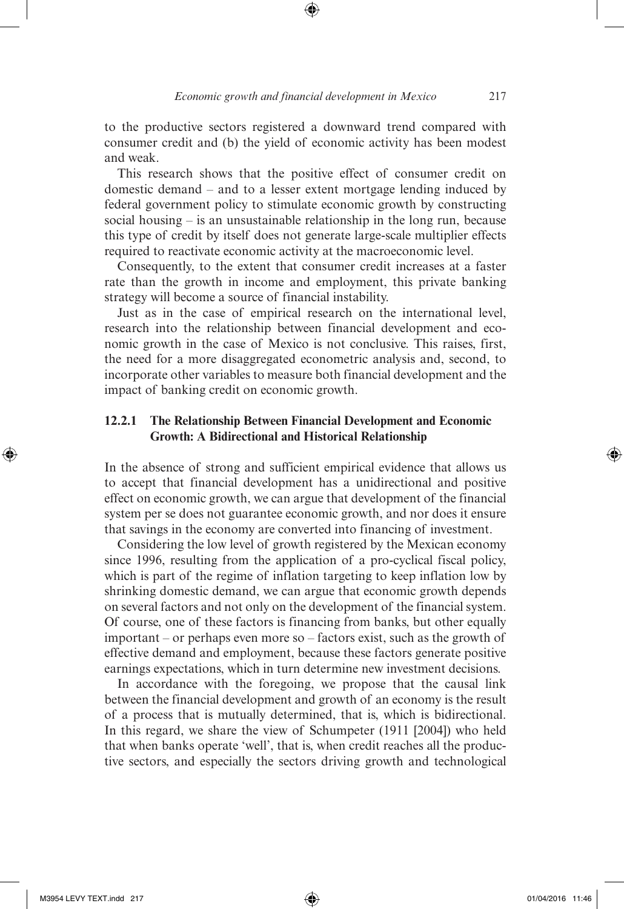to the productive sectors registered a downward trend compared with consumer credit and (b) the yield of economic activity has been modest and weak.

This research shows that the positive effect of consumer credit on domestic demand – and to a lesser extent mortgage lending induced by federal government policy to stimulate economic growth by constructing social housing – is an unsustainable relationship in the long run, because this type of credit by itself does not generate large-scale multiplier effects required to reactivate economic activity at the macroeconomic level.

Consequently, to the extent that consumer credit increases at a faster rate than the growth in income and employment, this private banking strategy will become a source of financial instability.

Just as in the case of empirical research on the international level, research into the relationship between financial development and economic growth in the case of Mexico is not conclusive. This raises, first, the need for a more disaggregated econometric analysis and, second, to incorporate other variables to measure both financial development and the impact of banking credit on economic growth.

#### **12.2.1 The Relationship Between Financial Development and Economic Growth: A Bidirectional and Historical Relationship**

In the absence of strong and sufficient empirical evidence that allows us to accept that financial development has a unidirectional and positive effect on economic growth, we can argue that development of the financial system per se does not guarantee economic growth, and nor does it ensure that savings in the economy are converted into financing of investment.

Considering the low level of growth registered by the Mexican economy since 1996, resulting from the application of a pro-cyclical fiscal policy, which is part of the regime of inflation targeting to keep inflation low by shrinking domestic demand, we can argue that economic growth depends on several factors and not only on the development of the financial system. Of course, one of these factors is financing from banks, but other equally important – or perhaps even more so – factors exist, such as the growth of effective demand and employment, because these factors generate positive earnings expectations, which in turn determine new investment decisions.

In accordance with the foregoing, we propose that the causal link between the financial development and growth of an economy is the result of a process that is mutually determined, that is, which is bidirectional. In this regard, we share the view of Schumpeter (1911 [2004]) who held that when banks operate 'well', that is, when credit reaches all the productive sectors, and especially the sectors driving growth and technological

⊕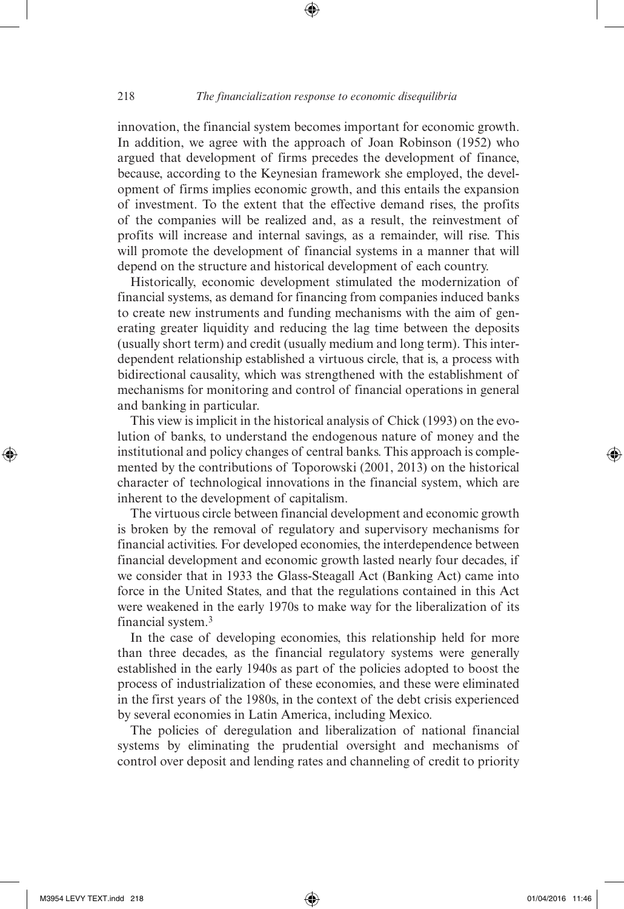⊕

innovation, the financial system becomes important for economic growth. In addition, we agree with the approach of Joan Robinson (1952) who argued that development of firms precedes the development of finance, because, according to the Keynesian framework she employed, the development of firms implies economic growth, and this entails the expansion of investment. To the extent that the effective demand rises, the profits of the companies will be realized and, as a result, the reinvestment of profits will increase and internal savings, as a remainder, will rise. This will promote the development of financial systems in a manner that will depend on the structure and historical development of each country.

Historically, economic development stimulated the modernization of financial systems, as demand for financing from companies induced banks to create new instruments and funding mechanisms with the aim of generating greater liquidity and reducing the lag time between the deposits (usually short term) and credit (usually medium and long term). This interdependent relationship established a virtuous circle, that is, a process with bidirectional causality, which was strengthened with the establishment of mechanisms for monitoring and control of financial operations in general and banking in particular.

This view is implicit in the historical analysis of Chick (1993) on the evolution of banks, to understand the endogenous nature of money and the institutional and policy changes of central banks. This approach is complemented by the contributions of Toporowski (2001, 2013) on the historical character of technological innovations in the financial system, which are inherent to the development of capitalism.

The virtuous circle between financial development and economic growth is broken by the removal of regulatory and supervisory mechanisms for financial activities. For developed economies, the interdependence between financial development and economic growth lasted nearly four decades, if we consider that in 1933 the Glass-Steagall Act (Banking Act) came into force in the United States, and that the regulations contained in this Act were weakened in the early 1970s to make way for the liberalization of its financial system.3

In the case of developing economies, this relationship held for more than three decades, as the financial regulatory systems were generally established in the early 1940s as part of the policies adopted to boost the process of industrialization of these economies, and these were eliminated in the first years of the 1980s, in the context of the debt crisis experienced by several economies in Latin America, including Mexico.

The policies of deregulation and liberalization of national financial systems by eliminating the prudential oversight and mechanisms of control over deposit and lending rates and channeling of credit to priority

⊕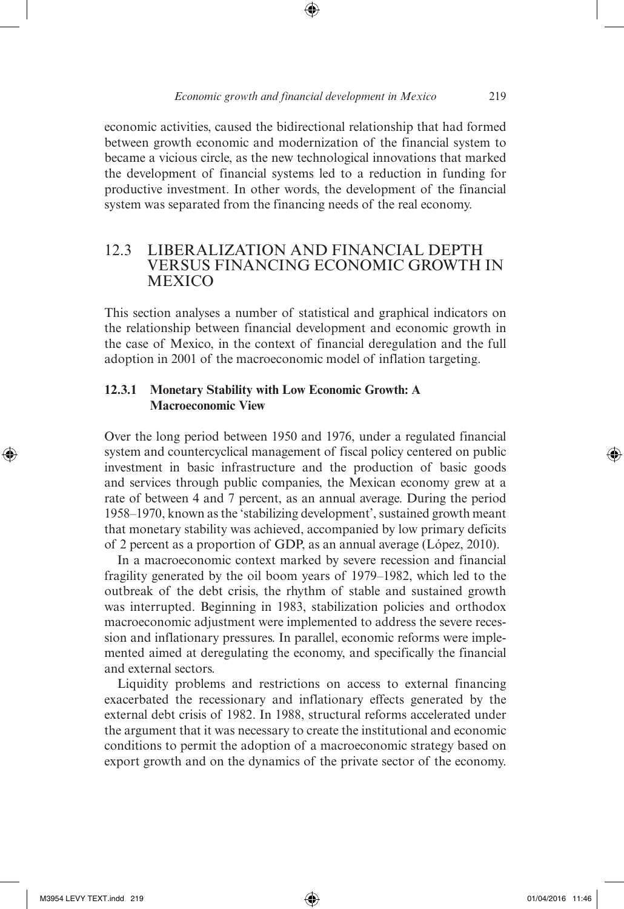economic activities, caused the bidirectional relationship that had formed between growth economic and modernization of the financial system to became a vicious circle, as the new technological innovations that marked the development of financial systems led to a reduction in funding for productive investment. In other words, the development of the financial system was separated from the financing needs of the real economy.

#### 12.3 LIBERALIZATION AND FINANCIAL DEPTH VERSUS FINANCING ECONOMIC GROWTH IN **MEXICO**

This section analyses a number of statistical and graphical indicators on the relationship between financial development and economic growth in the case of Mexico, in the context of financial deregulation and the full adoption in 2001 of the macroeconomic model of inflation targeting.

#### **12.3.1 Monetary Stability with Low Economic Growth: A Macroeconomic View**

Over the long period between 1950 and 1976, under a regulated financial system and countercyclical management of fiscal policy centered on public investment in basic infrastructure and the production of basic goods and services through public companies, the Mexican economy grew at a rate of between 4 and 7 percent, as an annual average. During the period 1958–1970, known as the 'stabilizing development', sustained growth meant that monetary stability was achieved, accompanied by low primary deficits of 2 percent as a proportion of GDP, as an annual average (López, 2010).

In a macroeconomic context marked by severe recession and financial fragility generated by the oil boom years of 1979–1982, which led to the outbreak of the debt crisis, the rhythm of stable and sustained growth was interrupted. Beginning in 1983, stabilization policies and orthodox macroeconomic adjustment were implemented to address the severe recession and inflationary pressures. In parallel, economic reforms were implemented aimed at deregulating the economy, and specifically the financial and external sectors.

Liquidity problems and restrictions on access to external financing exacerbated the recessionary and inflationary effects generated by the external debt crisis of 1982. In 1988, structural reforms accelerated under the argument that it was necessary to create the institutional and economic conditions to permit the adoption of a macroeconomic strategy based on export growth and on the dynamics of the private sector of the economy.

⊕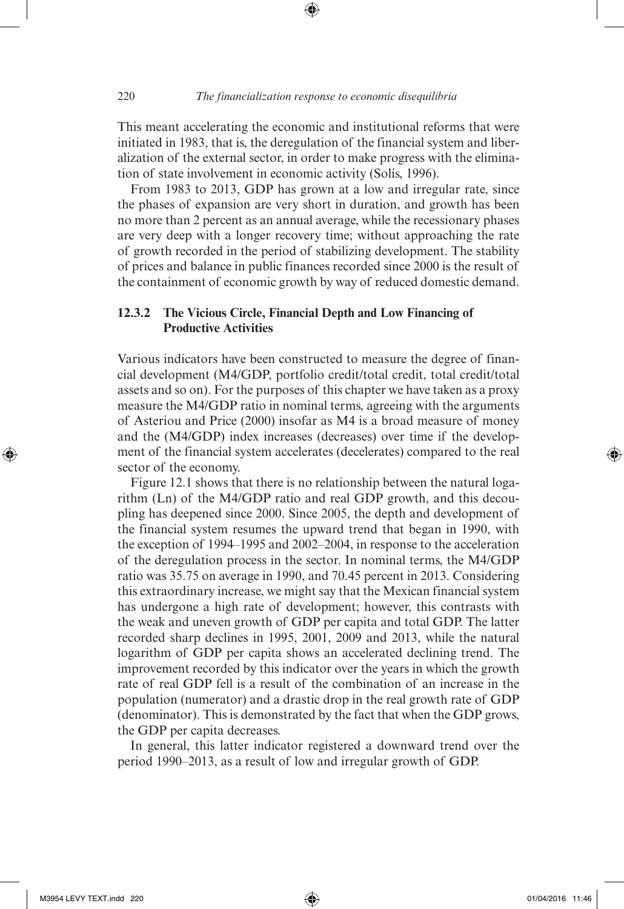This meant accelerating the economic and institutional reforms that were initiated in 1983, that is, the deregulation of the financial system and liberalization of the external sector, in order to make progress with the elimination of state involvement in economic activity (Solís, 1996).

⊕

From 1983 to 2013, GDP has grown at a low and irregular rate, since the phases of expansion are very short in duration, and growth has been no more than 2 percent as an annual average, while the recessionary phases are very deep with a longer recovery time; without approaching the rate of growth recorded in the period of stabilizing development. The stability of prices and balance in public finances recorded since 2000 is the result of the containment of economic growth by way of reduced domestic demand.

#### **12.3.2 The Vicious Circle, Financial Depth and Low Financing of Productive Activities**

Various indicators have been constructed to measure the degree of financial development (M4/GDP, portfolio credit/total credit, total credit/total assets and so on). For the purposes of this chapter we have taken as a proxy measure the M4/GDP ratio in nominal terms, agreeing with the arguments of Asteriou and Price (2000) insofar as M4 is a broad measure of money and the (M4/GDP) index increases (decreases) over time if the development of the financial system accelerates (decelerates) compared to the real sector of the economy.

Figure 12.1 shows that there is no relationship between the natural logarithm (Ln) of the M4/GDP ratio and real GDP growth, and this decoupling has deepened since 2000. Since 2005, the depth and development of the financial system resumes the upward trend that began in 1990, with the exception of 1994–1995 and 2002–2004, in response to the acceleration of the deregulation process in the sector. In nominal terms, the M4/GDP ratio was 35.75 on average in 1990, and 70.45 percent in 2013. Considering this extraordinary increase, we might say that the Mexican financial system has undergone a high rate of development; however, this contrasts with the weak and uneven growth of GDP per capita and total GDP. The latter recorded sharp declines in 1995, 2001, 2009 and 2013, while the natural logarithm of GDP per capita shows an accelerated declining trend. The improvement recorded by this indicator over the years in which the growth rate of real GDP fell is a result of the combination of an increase in the population (numerator) and a drastic drop in the real growth rate of GDP (denominator). This is demonstrated by the fact that when the GDP grows, the GDP per capita decreases.

In general, this latter indicator registered a downward trend over the period 1990–2013, as a result of low and irregular growth of GDP.

⊕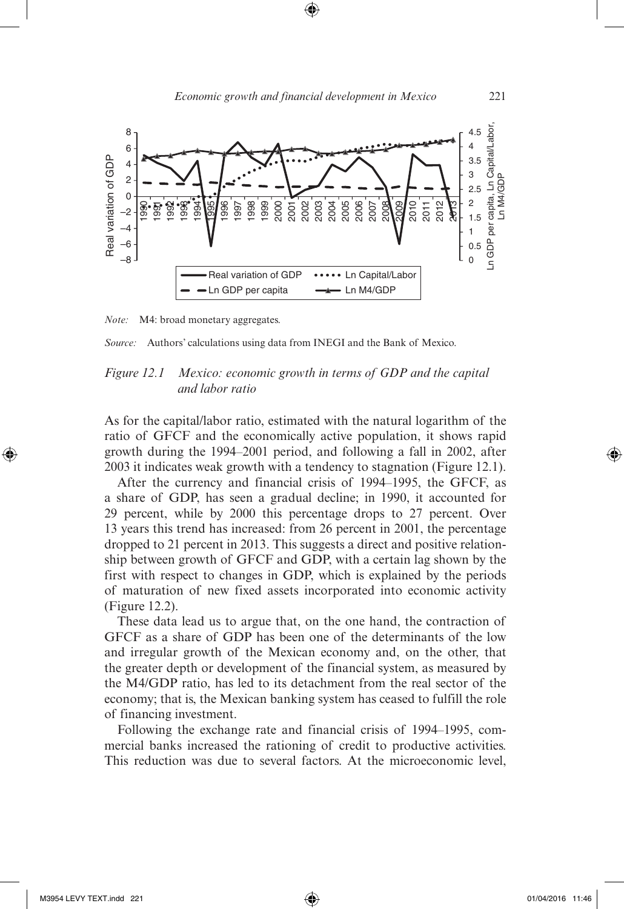



*Source:* Authors' calculations using data from INEGI and the Bank of Mexico.

#### *Figure 12.1 Mexico: economic growth in terms of GDP and the capital and labor ratio*

As for the capital/labor ratio, estimated with the natural logarithm of the ratio of GFCF and the economically active population, it shows rapid growth during the 1994–2001 period, and following a fall in 2002, after 2003 it indicates weak growth with a tendency to stagnation (Figure 12.1).

After the currency and financial crisis of 1994–1995, the GFCF, as a share of GDP, has seen a gradual decline; in 1990, it accounted for 29 percent, while by 2000 this percentage drops to 27 percent. Over 13 years this trend has increased: from 26 percent in 2001, the percentage dropped to 21 percent in 2013. This suggests a direct and positive relationship between growth of GFCF and GDP, with a certain lag shown by the first with respect to changes in GDP, which is explained by the periods of maturation of new fixed assets incorporated into economic activity (Figure 12.2).

These data lead us to argue that, on the one hand, the contraction of GFCF as a share of GDP has been one of the determinants of the low and irregular growth of the Mexican economy and, on the other, that the greater depth or development of the financial system, as measured by the M4/GDP ratio, has led to its detachment from the real sector of the economy; that is, the Mexican banking system has ceased to fulfill the role of financing investment.

Following the exchange rate and financial crisis of 1994–1995, commercial banks increased the rationing of credit to productive activities. This reduction was due to several factors. At the microeconomic level,

⊕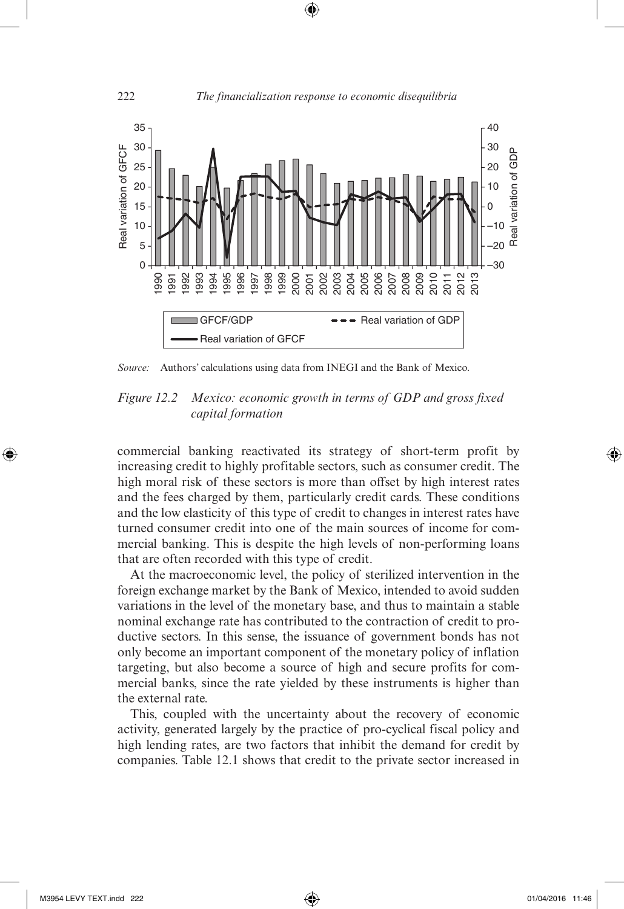

*Source:* Authors' calculations using data from INEGI and the Bank of Mexico.

*Figure 12.2 Mexico: economic growth in terms of GDP and gross fixed capital formation*

commercial banking reactivated its strategy of short-term profit by increasing credit to highly profitable sectors, such as consumer credit. The high moral risk of these sectors is more than offset by high interest rates and the fees charged by them, particularly credit cards. These conditions and the low elasticity of this type of credit to changes in interest rates have turned consumer credit into one of the main sources of income for commercial banking. This is despite the high levels of non-performing loans that are often recorded with this type of credit.

At the macroeconomic level, the policy of sterilized intervention in the foreign exchange market by the Bank of Mexico, intended to avoid sudden variations in the level of the monetary base, and thus to maintain a stable nominal exchange rate has contributed to the contraction of credit to productive sectors. In this sense, the issuance of government bonds has not only become an important component of the monetary policy of inflation targeting, but also become a source of high and secure profits for commercial banks, since the rate yielded by these instruments is higher than the external rate.

This, coupled with the uncertainty about the recovery of economic activity, generated largely by the practice of pro-cyclical fiscal policy and high lending rates, are two factors that inhibit the demand for credit by companies. Table 12.1 shows that credit to the private sector increased in

⊕

⊕

222 *The financialization response to economic disequilibria*

 $\bigoplus$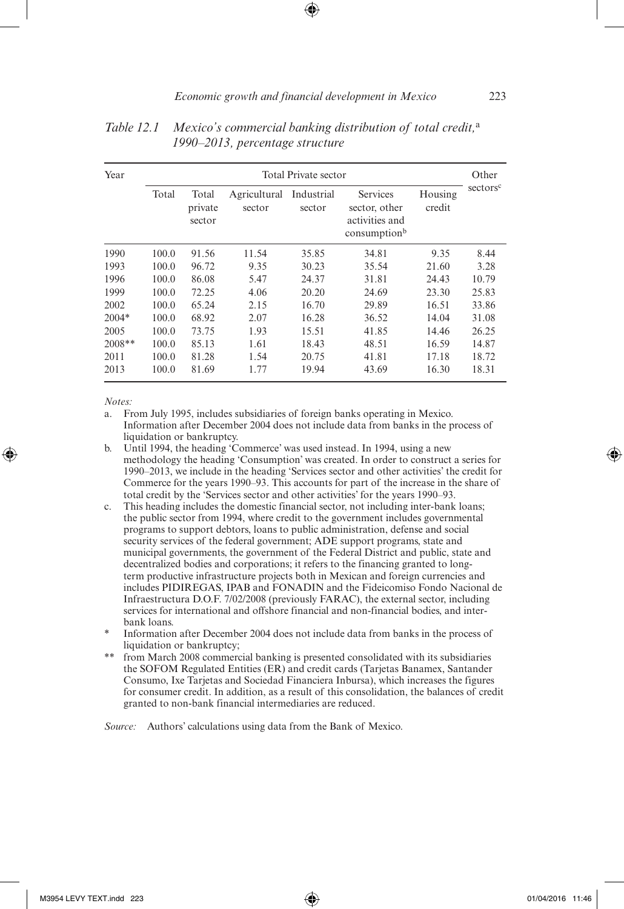| Year     | Total Private sector |                            |                        |                      |                                                                         |                   | Other                |
|----------|----------------------|----------------------------|------------------------|----------------------|-------------------------------------------------------------------------|-------------------|----------------------|
|          | Total                | Total<br>private<br>sector | Agricultural<br>sector | Industrial<br>sector | Services<br>sector, other<br>activities and<br>consumption <sup>b</sup> | Housing<br>credit | sectors <sup>c</sup> |
| 1990     | 100.0                | 91.56                      | 11.54                  | 35.85                | 34.81                                                                   | 9.35              | 8.44                 |
| 1993     | 100.0                | 96.72                      | 9.35                   | 30.23                | 35.54                                                                   | 21.60             | 3.28                 |
| 1996     | 100.0                | 86.08                      | 5.47                   | 24.37                | 31.81                                                                   | 24.43             | 10.79                |
| 1999     | 100.0                | 72.25                      | 4.06                   | 20.20                | 24.69                                                                   | 23.30             | 25.83                |
| 2002     | 100.0                | 65.24                      | 2.15                   | 16.70                | 29.89                                                                   | 16.51             | 33.86                |
| $2004*$  | 100.0                | 68.92                      | 2.07                   | 16.28                | 36.52                                                                   | 14.04             | 31.08                |
| 2005     | 100.0                | 73.75                      | 1.93                   | 15.51                | 41.85                                                                   | 14.46             | 26.25                |
| $2008**$ | 100.0                | 85.13                      | 1.61                   | 18.43                | 48.51                                                                   | 16.59             | 14.87                |
| 2011     | 100.0                | 81.28                      | 1.54                   | 20.75                | 41.81                                                                   | 17.18             | 18.72                |
| 2013     | 100.0                | 81.69                      | 1.77                   | 19.94                | 43.69                                                                   | 16.30             | 18.31                |

*Table 12.1 Mexico's commercial banking distribution of total credit,*<sup>a</sup> *1990–2013, percentage structure*

*Notes:*

⊕

a. From July 1995, includes subsidiaries of foreign banks operating in Mexico. Information after December 2004 does not include data from banks in the process of liquidation or bankruptcy.

- b. Until 1994, the heading 'Commerce' was used instead. In 1994, using a new methodology the heading 'Consumption' was created. In order to construct a series for 1990–2013, we include in the heading 'Services sector and other activities' the credit for Commerce for the years 1990–93. This accounts for part of the increase in the share of total credit by the 'Services sector and other activities' for the years 1990–93.
- c. This heading includes the domestic financial sector, not including inter-bank loans; the public sector from 1994, where credit to the government includes governmental programs to support debtors, loans to public administration, defense and social security services of the federal government; ADE support programs, state and municipal governments, the government of the Federal District and public, state and decentralized bodies and corporations; it refers to the financing granted to longterm productive infrastructure projects both in Mexican and foreign currencies and includes PIDIREGAS, IPAB and FONADIN and the Fideicomiso Fondo Nacional de Infraestructura D.O.F. 7/02/2008 (previously FARAC), the external sector, including services for international and offshore financial and non-financial bodies, and interbank loans.
- Information after December 2004 does not include data from banks in the process of liquidation or bankruptcy;
- \*\* from March 2008 commercial banking is presented consolidated with its subsidiaries the SOFOM Regulated Entities (ER) and credit cards (Tarjetas Banamex, Santander Consumo, Ixe Tarjetas and Sociedad Financiera Inbursa), which increases the figures for consumer credit. In addition, as a result of this consolidation, the balances of credit granted to non-bank financial intermediaries are reduced.

*Source:* Authors' calculations using data from the Bank of Mexico.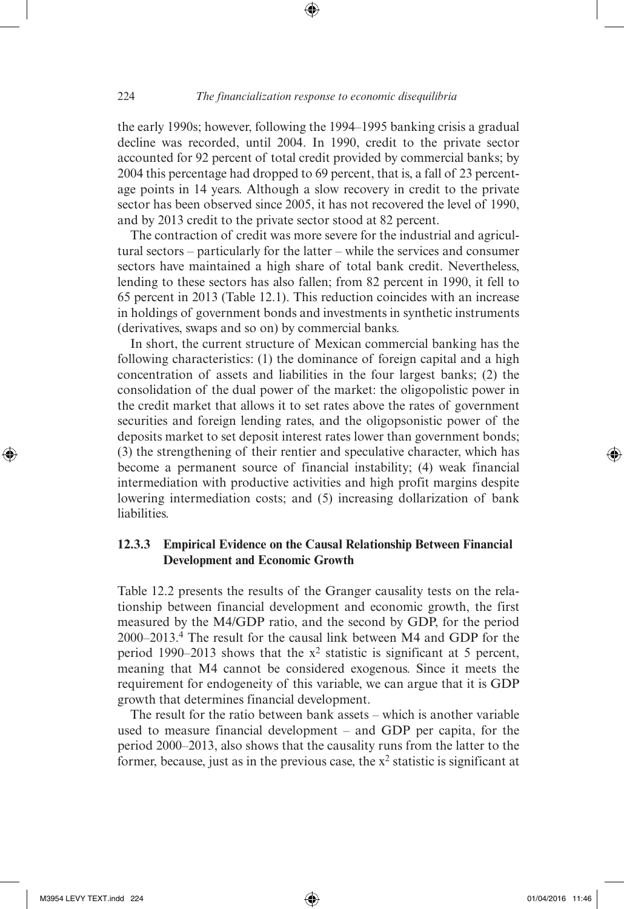the early 1990s; however, following the 1994–1995 banking crisis a gradual decline was recorded, until 2004. In 1990, credit to the private sector accounted for 92 percent of total credit provided by commercial banks; by 2004 this percentage had dropped to 69 percent, that is, a fall of 23 percentage points in 14 years. Although a slow recovery in credit to the private sector has been observed since 2005, it has not recovered the level of 1990, and by 2013 credit to the private sector stood at 82 percent.

⊕

The contraction of credit was more severe for the industrial and agricultural sectors – particularly for the latter – while the services and consumer sectors have maintained a high share of total bank credit. Nevertheless, lending to these sectors has also fallen; from 82 percent in 1990, it fell to 65 percent in 2013 (Table 12.1). This reduction coincides with an increase in holdings of government bonds and investments in synthetic instruments (derivatives, swaps and so on) by commercial banks.

In short, the current structure of Mexican commercial banking has the following characteristics: (1) the dominance of foreign capital and a high concentration of assets and liabilities in the four largest banks; (2) the consolidation of the dual power of the market: the oligopolistic power in the credit market that allows it to set rates above the rates of government securities and foreign lending rates, and the oligopsonistic power of the deposits market to set deposit interest rates lower than government bonds; (3) the strengthening of their rentier and speculative character, which has become a permanent source of financial instability; (4) weak financial intermediation with productive activities and high profit margins despite lowering intermediation costs; and (5) increasing dollarization of bank liabilities.

#### **12.3.3 Empirical Evidence on the Causal Relationship Between Financial Development and Economic Growth**

Table 12.2 presents the results of the Granger causality tests on the relationship between financial development and economic growth, the first measured by the M4/GDP ratio, and the second by GDP, for the period 2000–2013.4 The result for the causal link between M4 and GDP for the period 1990–2013 shows that the  $x^2$  statistic is significant at 5 percent, meaning that M4 cannot be considered exogenous. Since it meets the requirement for endogeneity of this variable, we can argue that it is GDP growth that determines financial development.

The result for the ratio between bank assets – which is another variable used to measure financial development – and GDP per capita, for the period 2000–2013, also shows that the causality runs from the latter to the former, because, just as in the previous case, the  $x^2$  statistic is significant at

⊕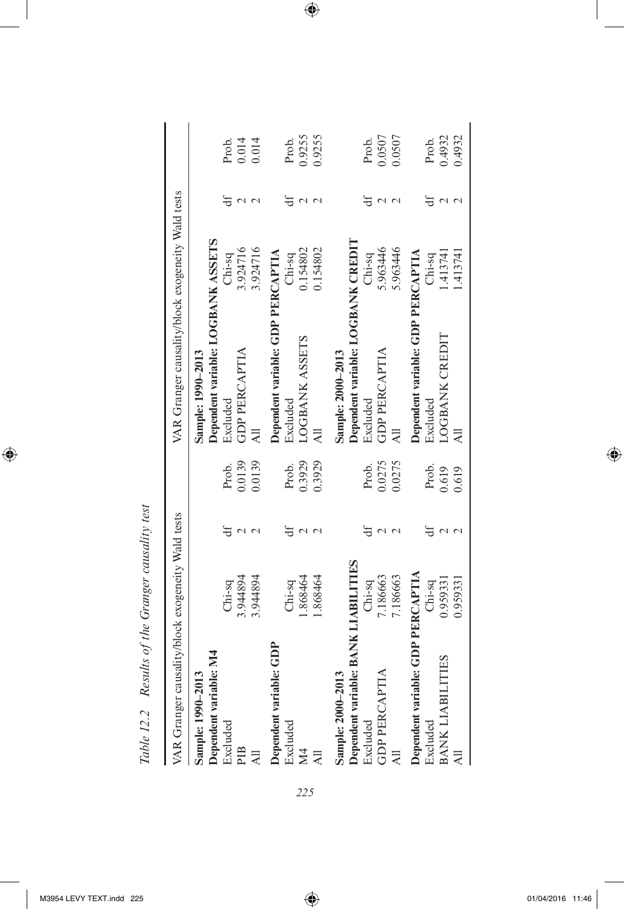Table 12.2 Results of the Granger causality test *Table 12.2 Results of the Granger causality test*

| VAR Granger causality/block exogeneity Wald tests |           |        | VAR Granger causality/block exogeneity Wald tests |           |        |
|---------------------------------------------------|-----------|--------|---------------------------------------------------|-----------|--------|
| Sample: 1990-2013                                 |           |        | Sample: 1990-2013                                 |           |        |
| Dependent variable: M4                            |           |        | Dependent variable: LOGBANK ASSETS                |           |        |
| Excluded                                          | $Chi-sq$  | Prob.  | Excluded                                          | $Chi-sq$  | Prob.  |
| PIB                                               | 3.944894  | 0.0139 | <b>GDP PERCAPTIA</b>                              | 3.924716  | 0.014  |
|                                                   | 3.944894  | 0.0139 | $\overline{AB}$                                   | 3.924716  | 0.014  |
| Dependent variable: GDP                           |           |        | Dependent variable: GDP PERCAPTIA                 |           |        |
| Excluded                                          | $Chi-sq$  | Prob.  | Excluded                                          | $Chi-sq$  | Prob.  |
|                                                   | .868464   | 0.3929 | <b>COBANK ASSETS</b>                              | 0.154802  | 0.9255 |
|                                                   | .868464   | 0.3929 |                                                   | 0.154802  | 0.9255 |
| Sample: 2000-2013                                 |           |        | Sample: 2000-2013                                 |           |        |
| Dependent variable: BANK LIABILITIES              |           |        | Dependent variable: LOGBANK CREDIT                |           |        |
| Excluded                                          | $Chi-sq$  | Prob.  | Excluded                                          | $Chi-sq$  | Prob.  |
| <b>GDP PERCAPTIA</b>                              | 7.186663  | 0.0275 | <b>GDP PERCAPTIA</b>                              | 5.963446  | 0.0507 |
|                                                   | 7.186663  | 0.0275 | All                                               | 5.963446  | 0.0507 |
| Dependent variable: GDP PERCAPTIA                 |           |        | Dependent variable: GDP PERCAPTIA                 |           |        |
| Excluded                                          | $Chi$ -sq | Prob.  | Excluded                                          | $Chi$ -sq | Prob.  |
| <b>BANK LIABILITIES</b>                           | 0.959331  | 0.619  | LOGBANK CREDIT                                    | 1.41374   | 0.4932 |
|                                                   | 0.959331  | 0.619  |                                                   | .413741   | 0.4932 |

 $\bigoplus$ 

*225*

 $\bigoplus$ 

 $\bigoplus$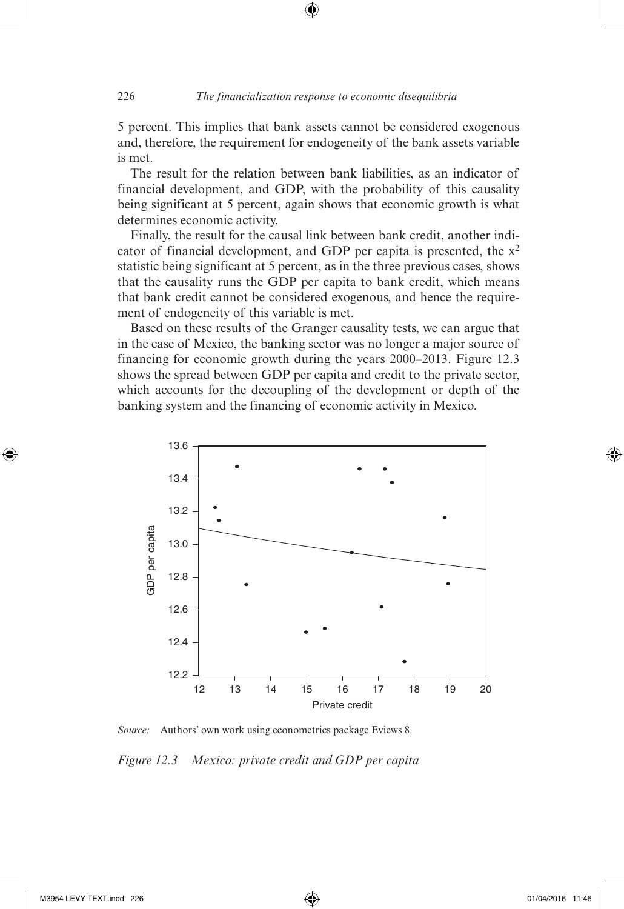5 percent. This implies that bank assets cannot be considered exogenous and, therefore, the requirement for endogeneity of the bank assets variable is met.

 $\bigoplus$ 

The result for the relation between bank liabilities, as an indicator of financial development, and GDP, with the probability of this causality being significant at 5 percent, again shows that economic growth is what determines economic activity.

Finally, the result for the causal link between bank credit, another indicator of financial development, and GDP per capita is presented, the  $x^2$ statistic being significant at 5 percent, as in the three previous cases, shows that the causality runs the GDP per capita to bank credit, which means that bank credit cannot be considered exogenous, and hence the requirement of endogeneity of this variable is met.

Based on these results of the Granger causality tests, we can argue that in the case of Mexico, the banking sector was no longer a major source of financing for economic growth during the years 2000–2013. Figure 12.3 shows the spread between GDP per capita and credit to the private sector, which accounts for the decoupling of the development or depth of the banking system and the financing of economic activity in Mexico.



*Source:* Authors' own work using econometrics package Eviews 8.

*Figure 12.3 Mexico: private credit and GDP per capita*

M3954 LEVY TEXT.indd 226 **11:46** 226 01/04/2016 11:46

⊕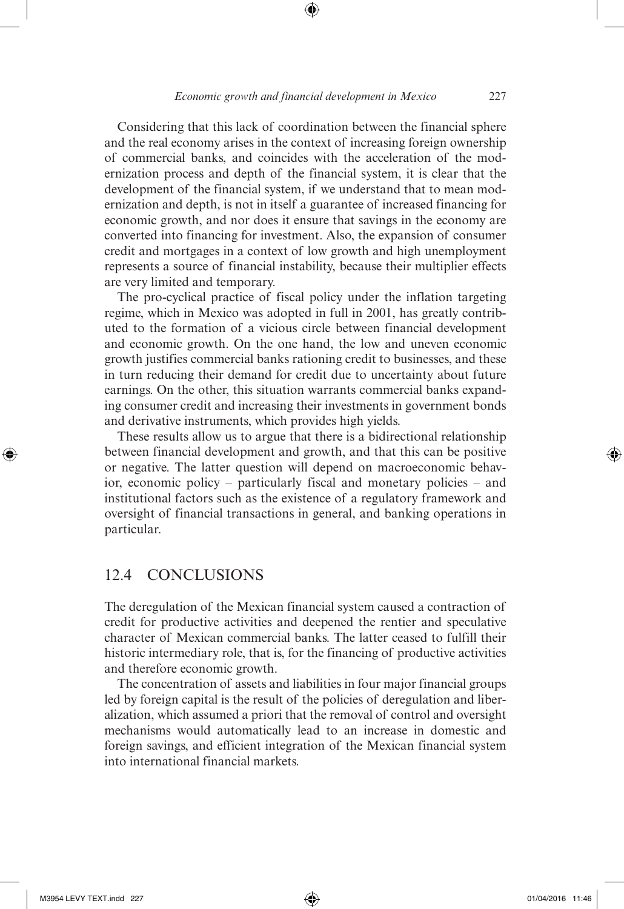Considering that this lack of coordination between the financial sphere and the real economy arises in the context of increasing foreign ownership of commercial banks, and coincides with the acceleration of the modernization process and depth of the financial system, it is clear that the development of the financial system, if we understand that to mean modernization and depth, is not in itself a guarantee of increased financing for economic growth, and nor does it ensure that savings in the economy are converted into financing for investment. Also, the expansion of consumer credit and mortgages in a context of low growth and high unemployment represents a source of financial instability, because their multiplier effects are very limited and temporary.

The pro-cyclical practice of fiscal policy under the inflation targeting regime, which in Mexico was adopted in full in 2001, has greatly contributed to the formation of a vicious circle between financial development and economic growth. On the one hand, the low and uneven economic growth justifies commercial banks rationing credit to businesses, and these in turn reducing their demand for credit due to uncertainty about future earnings. On the other, this situation warrants commercial banks expanding consumer credit and increasing their investments in government bonds and derivative instruments, which provides high yields.

These results allow us to argue that there is a bidirectional relationship between financial development and growth, and that this can be positive or negative. The latter question will depend on macroeconomic behavior, economic policy – particularly fiscal and monetary policies – and institutional factors such as the existence of a regulatory framework and oversight of financial transactions in general, and banking operations in particular.

#### 12.4 CONCLUSIONS

The deregulation of the Mexican financial system caused a contraction of credit for productive activities and deepened the rentier and speculative character of Mexican commercial banks. The latter ceased to fulfill their historic intermediary role, that is, for the financing of productive activities and therefore economic growth.

The concentration of assets and liabilities in four major financial groups led by foreign capital is the result of the policies of deregulation and liberalization, which assumed a priori that the removal of control and oversight mechanisms would automatically lead to an increase in domestic and foreign savings, and efficient integration of the Mexican financial system into international financial markets.

⊕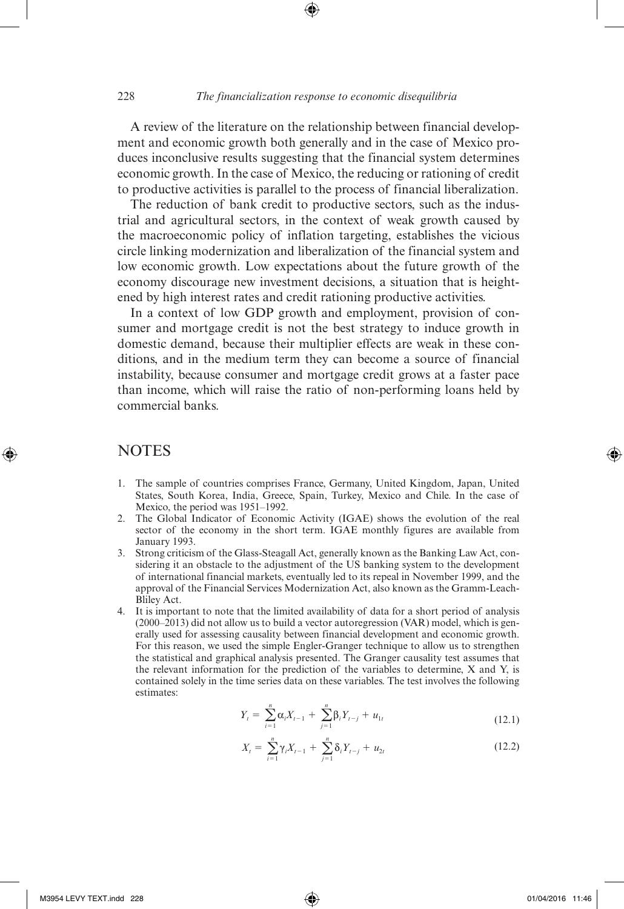A review of the literature on the relationship between financial development and economic growth both generally and in the case of Mexico produces inconclusive results suggesting that the financial system determines economic growth. In the case of Mexico, the reducing or rationing of credit to productive activities is parallel to the process of financial liberalization.

The reduction of bank credit to productive sectors, such as the industrial and agricultural sectors, in the context of weak growth caused by the macroeconomic policy of inflation targeting, establishes the vicious circle linking modernization and liberalization of the financial system and low economic growth. Low expectations about the future growth of the economy discourage new investment decisions, a situation that is heightened by high interest rates and credit rationing productive activities.

In a context of low GDP growth and employment, provision of consumer and mortgage credit is not the best strategy to induce growth in domestic demand, because their multiplier effects are weak in these conditions, and in the medium term they can become a source of financial instability, because consumer and mortgage credit grows at a faster pace than income, which will raise the ratio of non-performing loans held by commercial banks.

#### **NOTES**

⊕

- 1. The sample of countries comprises France, Germany, United Kingdom, Japan, United States, South Korea, India, Greece, Spain, Turkey, Mexico and Chile. In the case of Mexico, the period was 1951–1992.
- 2. The Global Indicator of Economic Activity (IGAE) shows the evolution of the real sector of the economy in the short term. IGAE monthly figures are available from January 1993.
- 3. Strong criticism of the Glass-Steagall Act, generally known as the Banking Law Act, considering it an obstacle to the adjustment of the US banking system to the development of international financial markets, eventually led to its repeal in November 1999, and the approval of the Financial Services Modernization Act, also known as the Gramm-Leach-Bliley Act.
- 4. It is important to note that the limited availability of data for a short period of analysis  $(2000–2013)$  did not allow us to build a vector autoregression (VAR) model, which is generally used for assessing causality between financial development and economic growth. For this reason, we used the simple Engler-Granger technique to allow us to strengthen the statistical and graphical analysis presented. The Granger causality test assumes that the relevant information for the prediction of the variables to determine, X and Y, is contained solely in the time series data on these variables. The test involves the following estimates:

$$
Y_{t} = \sum_{i=1}^{n} \alpha_{i} X_{t-1} + \sum_{j=1}^{n} \beta_{i} Y_{t-j} + u_{1t}
$$
 (12.1)

$$
X_{t} = \sum_{i=1}^{n} \gamma_{i} X_{t-1} + \sum_{j=1}^{n} \delta_{i} Y_{t-j} + u_{2t}
$$
 (12.2)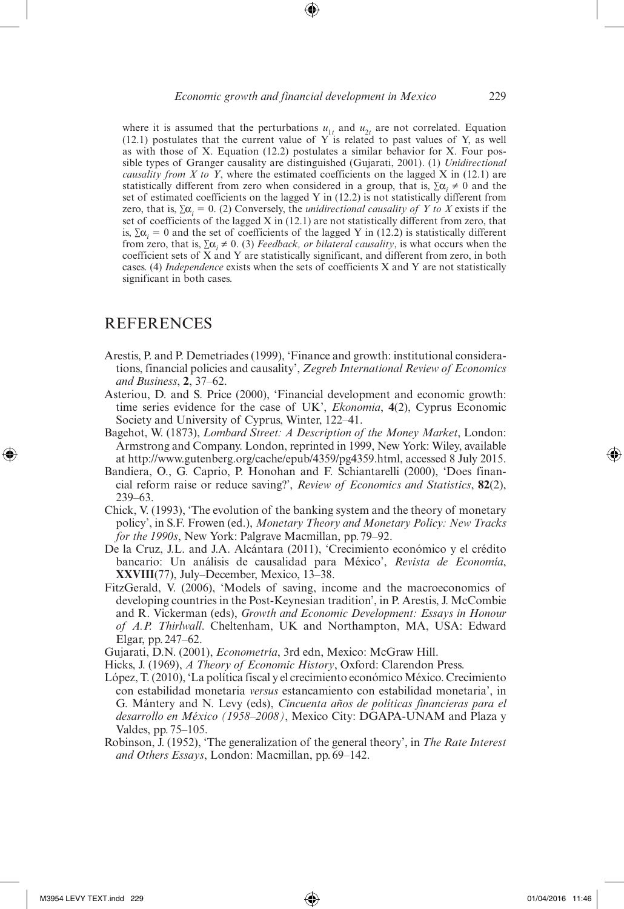where it is assumed that the perturbations  $u_{1t}$  and  $u_{2t}$  are not correlated. Equation  $(12.1)$  postulates that the current value of Y is related to past values of Y, as well as with those of X. Equation (12.2) postulates a similar behavior for X. Four possible types of Granger causality are distinguished (Gujarati, 2001). (1) *Unidirectional causality from X to Y*, where the estimated coefficients on the lagged X in (12.1) are statistically different from zero when considered in a group, that is,  $\sum \alpha_i \neq 0$  and the set of estimated coefficients on the lagged Y in (12.2) is not statistically different from zero, that is,  $\Sigma \alpha_i = 0$ . (2) Conversely, the *unidirectional causality of Y to X* exists if the set of coefficients of the lagged  $X$  in  $(12.1)$  are not statistically different from zero, that is,  $\Sigma \alpha_i = 0$  and the set of coefficients of the lagged Y in (12.2) is statistically different from zero, that is,  $\sum \alpha_i \neq 0$ . (3) *Feedback, or bilateral causality*, is what occurs when the coefficient sets of X and Y are statistically significant, and different from zero, in both cases. (4) *Independence* exists when the sets of coefficients X and Y are not statistically significant in both cases.

#### **REFERENCES**

- Arestis, P. and P. Demetriades (1999), 'Finance and growth: institutional considerations, financial policies and causality', *Zegreb International Review of Economics and Business*, **2**, 37–62.
- Asteriou, D. and S. Price (2000), 'Financial development and economic growth: time series evidence for the case of UK', *Ekonomia*, **4**(2), Cyprus Economic Society and University of Cyprus, Winter, 122–41.
- Bagehot, W. (1873), *Lombard Street: A Description of the Money Market*, London: Armstrong and Company. London, reprinted in 1999, New York: Wiley, available at http://www.gutenberg.org/cache/epub/4359/pg4359.html, accessed 8 July 2015.
- Bandiera, O., G. Caprio, P. Honohan and F. Schiantarelli (2000), 'Does financial reform raise or reduce saving?', *Review of Economics and Statistics*, **82**(2), 239–63.
- Chick, V. (1993), 'The evolution of the banking system and the theory of monetary policy', in S.F. Frowen (ed.), *Monetary Theory and Monetary Policy: New Tracks for the 1990s*, New York: Palgrave Macmillan, pp. 79–92.
- De la Cruz, J.L. and J.A. Alcántara (2011), 'Crecimiento económico y el crédito bancario: Un análisis de causalidad para México', *Revista de Economía*, **XXVIII**(77), July–December, Mexico, 13–38.
- FitzGerald, V. (2006), 'Models of saving, income and the macroeconomics of developing countries in the Post-Keynesian tradition', in P. Arestis, J. McCombie and R. Vickerman (eds), *Growth and Economic Development: Essays in Honour of A.P. Thirlwall*. Cheltenham, UK and Northampton, MA, USA: Edward Elgar, pp.247–62.

Gujarati, D.N. (2001), *Econometría*, 3rd edn, Mexico: McGraw Hill.

- Hicks, J. (1969), *A Theory of Economic History*, Oxford: Clarendon Press.
- López, T. (2010), 'La política fiscal y el crecimiento económico México. Crecimiento con estabilidad monetaria *versus* estancamiento con estabilidad monetaria', in G. Mántery and N. Levy (eds), *Cincuenta años de políticas financieras para el desarrollo en México (1958–2008)*, Mexico City: DGAPA-UNAM and Plaza y Valdes, pp. 75–105.
- Robinson, J. (1952), 'The generalization of the general theory', in *The Rate Interest and Others Essays*, London: Macmillan, pp. 69–142.

⊕